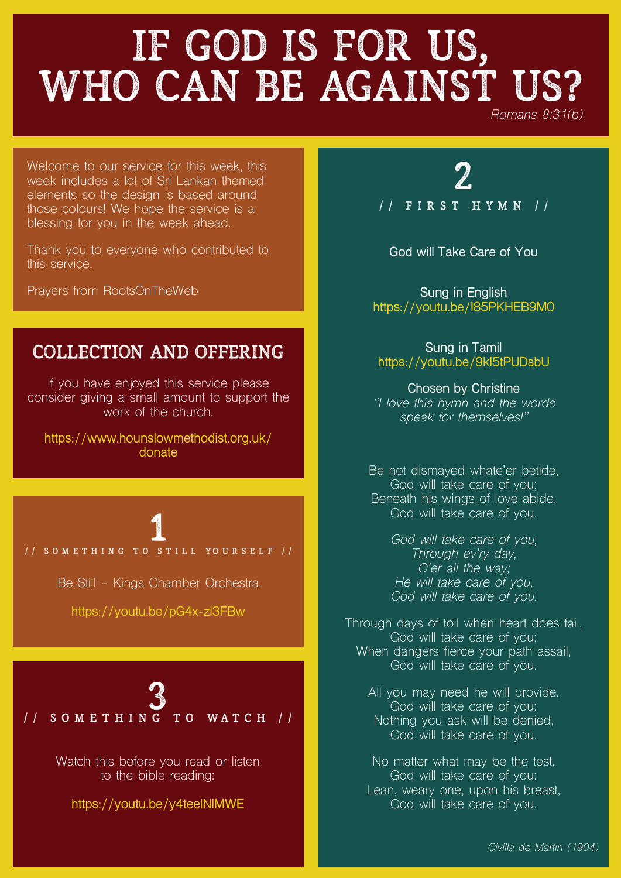# IF GOD IS FOR US, WHO CAN BE AGAINST US?

*Romans 8:31(b)*

Welcome to our service for this week, this week includes a lot of Sri Lankan themed elements so the design is based around those colours! We hope the service is a blessing for you in the week ahead.

Thank you to everyone who contributed to this service.

Prayers from RootsOnTheWeb

### Collection and offering

If you have enjoyed this service please consider giving a small amount to support the work of the church.

**[https://www.hounslowmethodist.org.uk/](https://www.hounslowmethodist.org.uk/donate) [donate](https://www.hounslowmethodist.org.uk/donate)**

1 // Something to Still Yourself //

Be Still - Kings Chamber Orchestra

**<https://youtu.be/pG4x-zi3FBw>**



Watch this before you read or listen to the bible reading:

**<https://youtu.be/y4teelNIMWE>**

2 // First Hymn //

**God will Take Care of You**

**Sung in English <https://youtu.be/I85PKHEB9M0>**

**Sung in Tamil <https://youtu.be/9kl5tPUDsbU>**

**Chosen by Christine** *"I love this hymn and the words speak for themselves!"*

Be not dismayed whate'er betide, God will take care of you; Beneath his wings of love abide, God will take care of you.

> *God will take care of you, Through ev'ry day, O'er all the way; He will take care of you, God will take care of you.*

Through days of toil when heart does fail, God will take care of you; When dangers fierce your path assail, God will take care of you.

All you may need he will provide, God will take care of you; Nothing you ask will be denied, God will take care of you.

No matter what may be the test, God will take care of you; Lean, weary one, upon his breast, God will take care of you.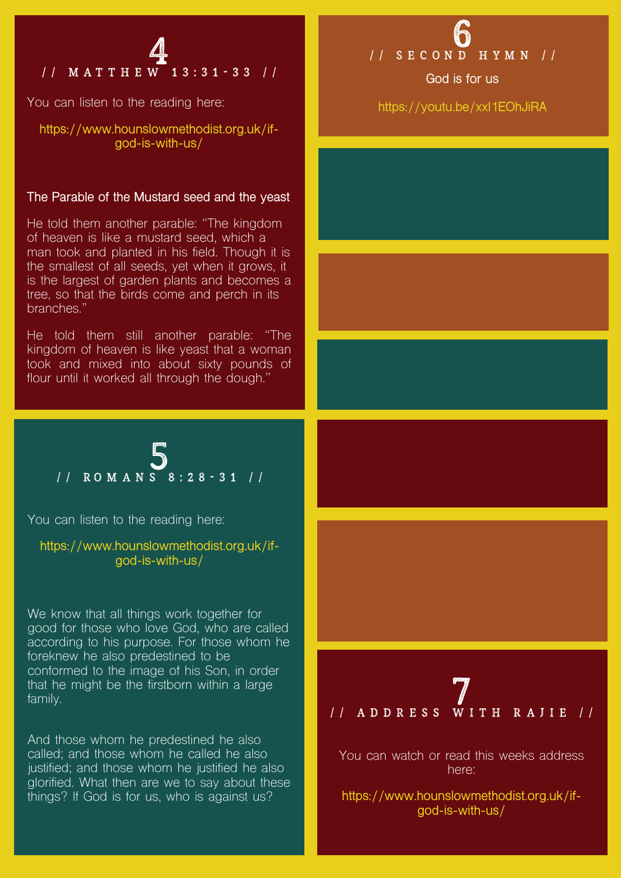4 // Matthew 13:31-33 //

You can listen to the reading here:

**[https://www.hounslowmethodist.org.uk/if](https://www.hounslowmethodist.org.uk/if-god-is-with-us/)[god-is-with-us/](https://www.hounslowmethodist.org.uk/if-god-is-with-us/)**

#### **The Parable of the Mustard seed and the yeast**

He told them another parable: "The kingdom of heaven is like a mustard seed, which a man took and planted in his field. Though it is the smallest of all seeds, yet when it grows, it is the largest of garden plants and becomes a tree, so that the birds come and perch in its branches."

He told them still another parable: "The kingdom of heaven is like yeast that a woman took and mixed into about sixty pounds of flour until it worked all through the dough."

**<https://youtu.be/xxl1EOhJiRA>**

**God is for us**

$$
1 / \text{ROMAN S} \cdot 28 - 31 / l
$$

You can listen to the reading here:

**[https://www.hounslowmethodist.org.uk/if](https://www.hounslowmethodist.org.uk/if-god-is-with-us/)[god-is-with-us/](https://www.hounslowmethodist.org.uk/if-god-is-with-us/)**

We know that all things work together for good for those who love God, who are called according to his purpose. For those whom he foreknew he also predestined to be conformed to the image of his Son, in order that he might be the firstborn within a large family.

And those whom he predestined he also called; and those whom he called he also justified; and those whom he justified he also glorified. What then are we to say about these things? If God is for us, who is against us?





You can watch or read this weeks address here:

**[https://www.hounslowmethodist.org.uk/if](https://www.hounslowmethodist.org.uk/if-god-is-with-us/)[god-is-with-us/](https://www.hounslowmethodist.org.uk/if-god-is-with-us/)**